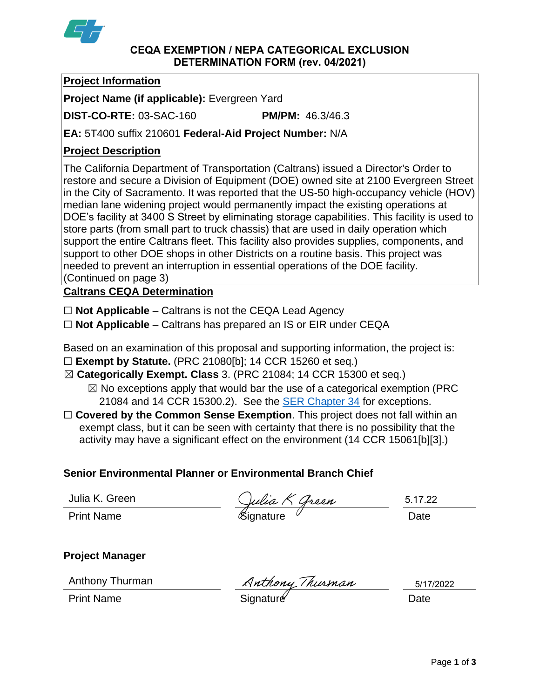

#### **CEQA EXEMPTION / NEPA CATEGORICAL EXCLUSION DETERMINATION FORM (rev. 04/2021)**

# **Project Information**

**Project Name (if applicable):** Evergreen Yard

**DIST-CO-RTE:** 03-SAC-160 **PM/PM:** 46.3/46.3

**EA:** 5T400 suffix 210601 **Federal-Aid Project Number:** N/A

# **Project Description**

The California Department of Transportation (Caltrans) issued a Director's Order to restore and secure a Division of Equipment (DOE) owned site at 2100 Evergreen Street in the City of Sacramento. It was reported that the US-50 high-occupancy vehicle (HOV) median lane widening project would permanently impact the existing operations at DOE's facility at 3400 S Street by eliminating storage capabilities. This facility is used to store parts (from small part to truck chassis) that are used in daily operation which support the entire Caltrans fleet. This facility also provides supplies, components, and support to other DOE shops in other Districts on a routine basis. This project was needed to prevent an interruption in essential operations of the DOE facility. (Continued on page 3)

**Caltrans CEQA Determination**

☐ **Not Applicable** – Caltrans is not the CEQA Lead Agency

☐ **Not Applicable** – Caltrans has prepared an IS or EIR under CEQA

Based on an examination of this proposal and supporting information, the project is: ☐ **Exempt by Statute.** (PRC 21080[b]; 14 CCR 15260 et seq.)

☒ **Categorically Exempt. Class** 3. (PRC 21084; 14 CCR 15300 et seq.)

 $\boxtimes$  No exceptions apply that would bar the use of a categorical exemption (PRC 21084 and 14 CCR 15300.2). See the **SER Chapter 34** for exceptions.

□ **Covered by the Common Sense Exemption**. This project does not fall within an exempt class, but it can be seen with certainty that there is no possibility that the activity may have a significant effect on the environment (14 CCR 15061[b][3].)

## **Senior Environmental Planner or Environmental Branch Chief**

Julia K. Green

Julia K. Green (*Julia K Green* 5.17.2)<br>Print Name (Signature *Signature* Date

5.17.22

**Project Manager**

Anthony Thurman

Anthony Thurman Anthony Thurman 5/17<br>Print Name Date

5/17/2022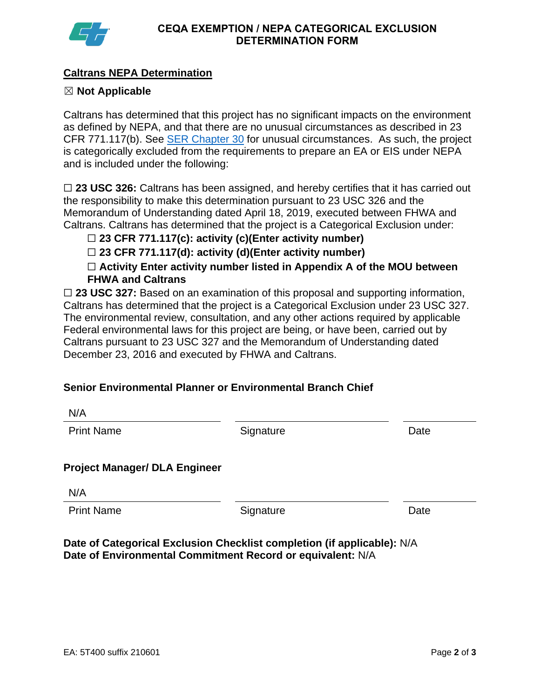

# **Caltrans NEPA Determination**

## ☒ **Not Applicable**

Caltrans has determined that this project has no significant impacts on the environment as defined by NEPA, and that there are no unusual circumstances as described in 23 CFR 771.117(b). See **SER Chapter 30** for unusual circumstances. As such, the project is categorically excluded from the requirements to prepare an EA or EIS under NEPA and is included under the following:

□ 23 USC 326: Caltrans has been assigned, and hereby certifies that it has carried out the responsibility to make this determination pursuant to 23 USC 326 and the Memorandum of Understanding dated April 18, 2019, executed between FHWA and Caltrans. Caltrans has determined that the project is a Categorical Exclusion under:

☐ **23 CFR 771.117(c): activity (c)(Enter activity number)**

☐ **23 CFR 771.117(d): activity (d)(Enter activity number)**

☐ **Activity Enter activity number listed in Appendix A of the MOU between FHWA and Caltrans**

□ 23 USC 327: Based on an examination of this proposal and supporting information, Caltrans has determined that the project is a Categorical Exclusion under 23 USC 327. The environmental review, consultation, and any other actions required by applicable Federal environmental laws for this project are being, or have been, carried out by Caltrans pursuant to 23 USC 327 and the Memorandum of Understanding dated December 23, 2016 and executed by FHWA and Caltrans.

# **Senior Environmental Planner or Environmental Branch Chief**

| N/A                                  |           |      |
|--------------------------------------|-----------|------|
| <b>Print Name</b>                    | Signature | Date |
|                                      |           |      |
| <b>Project Manager/ DLA Engineer</b> |           |      |
| N/A                                  |           |      |
| <b>Print Name</b>                    | Signature | Date |
|                                      |           |      |

**Date of Categorical Exclusion Checklist completion (if applicable):** N/A **Date of Environmental Commitment Record or equivalent:** N/A